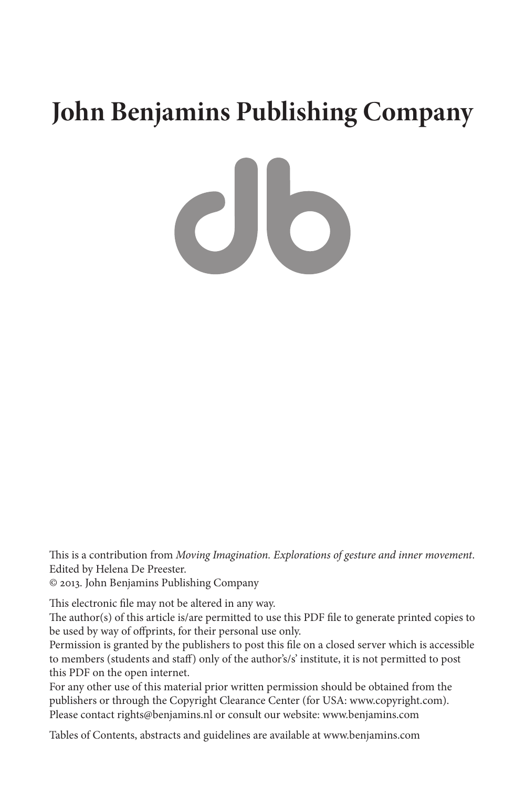# **John Benjamins Publishing Company**

 $c$ lo

This is a contribution from *Moving Imagination. Explorations of gesture and inner movement*. Edited by Helena De Preester.

© 2013. John Benjamins Publishing Company

This electronic file may not be altered in any way.

The author(s) of this article is/are permitted to use this PDF file to generate printed copies to be used by way of offprints, for their personal use only.

Permission is granted by the publishers to post this file on a closed server which is accessible to members (students and staff) only of the author's/s' institute, it is not permitted to post this PDF on the open internet.

For any other use of this material prior written permission should be obtained from the publishers or through the Copyright Clearance Center (for USA: www.copyright.com). Please contact rights@benjamins.nl or consult our website: www.benjamins.com

Tables of Contents, abstracts and guidelines are available at www.benjamins.com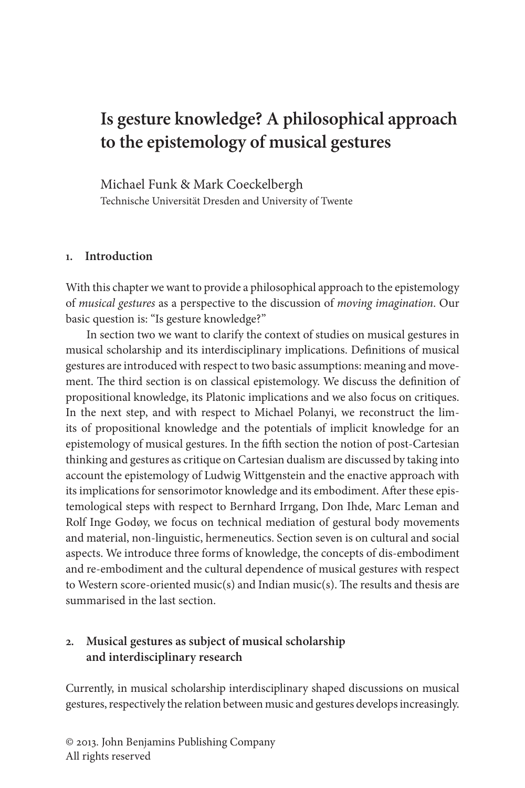# **Is gesture knowledge? A philosophical approach to the epistemology of musical gestures**

Michael Funk & Mark Coeckelbergh Technische Universität Dresden and University of Twente

### **1. Introduction**

With this chapter we want to provide a philosophical approach to the epistemology of *musical gestures* as a perspective to the discussion of *moving imagination*. Our basic question is: "Is gesture knowledge?"

In section two we want to clarify the context of studies on musical gestures in musical scholarship and its interdisciplinary implications. Definitions of musical gestures are introduced with respect to two basic assumptions: meaning and movement. The third section is on classical epistemology. We discuss the definition of propositional knowledge, its Platonic implications and we also focus on critiques. In the next step, and with respect to Michael Polanyi, we reconstruct the limits of propositional knowledge and the potentials of implicit knowledge for an epistemology of musical gestures. In the fifth section the notion of post-Cartesian thinking and gestures as critique on Cartesian dualism are discussed by taking into account the epistemology of Ludwig Wittgenstein and the enactive approach with its implications for sensorimotor knowledge and its embodiment. After these epistemological steps with respect to Bernhard Irrgang, Don Ihde, Marc Leman and Rolf Inge Godøy, we focus on technical mediation of gestural body movements and material, non-linguistic, hermeneutics. Section seven is on cultural and social aspects. We introduce three forms of knowledge, the concepts of dis-embodiment and re-embodiment and the cultural dependence of musical gesture*s* with respect to Western score-oriented music(s) and Indian music(s). The results and thesis are summarised in the last section.

# **2. Musical gestures as subject of musical scholarship and interdisciplinary research**

Currently, in musical scholarship interdisciplinary shaped discussions on musical gestures, respectively the relation between music and gestures develops increasingly.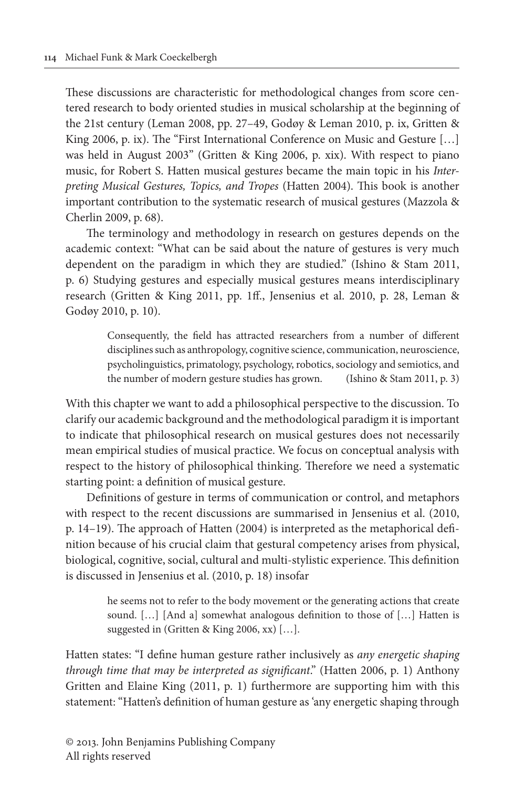These discussions are characteristic for methodological changes from score centered research to body oriented studies in musical scholarship at the beginning of the 21st century ([Leman 2008,](#page-18-0) pp. 27–49, [Godøy & Leman 2010,](#page-17-0) p. ix, [Gritten &](#page-17-1)  [King 2006,](#page-17-1) p. ix). The "First International Conference on Music and Gesture [...] was held in August 2003" ([Gritten & King 2006](#page-17-1), p. xix). With respect to piano music, for Robert S. Hatten musical gesture*s* became the main topic in his *Interpreting Musical Gestures, Topics, and Tropes* ([Hatten 2004](#page-18-1)). This book is another important contribution to the systematic research of musical gestures ([Mazzola &](#page-18-2)  [Cherlin 2009,](#page-18-2) p. 68).

The terminology and methodology in research on gestures depends on the academic context: "What can be said about the nature of gestures is very much dependent on the paradigm in which they are studied." ([Ishino & Stam 2011](#page-18-3), p. 6) Studying gestures and especially musical gestures means interdisciplinary research [\(Gritten & King 2011,](#page-17-2) pp. 1ff., [Jensenius et al. 2010,](#page-18-4) p. 28, [Leman &](#page-18-5)  [Godøy 2010,](#page-18-5) p. 10).

> Consequently, the field has attracted researchers from a number of different disciplines such as anthropology, cognitive science, communication, neuroscience, psycholinguistics, primatology, psychology, robotics, sociology and semiotics, and the number of modern gesture studies has grown. [\(Ishino & Stam 2011,](#page-18-3) p. 3)

With this chapter we want to add a philosophical perspective to the discussion. To clarify our academic background and the methodological paradigm it is important to indicate that philosophical research on musical gestures does not necessarily mean empirical studies of musical practice. We focus on conceptual analysis with respect to the history of philosophical thinking. Therefore we need a systematic starting point: a definition of musical gesture.

Definitions of gesture in terms of communication or control, and metaphors with respect to the recent discussions are summarised in [Jensenius et al. \(2010](#page-18-4), p. 14–19). The approach of [Hatten \(2004](#page-18-1)) is interpreted as the metaphorical definition because of his crucial claim that gestural competency arises from physical, biological, cognitive, social, cultural and multi-stylistic experience. This definition is discussed in [Jensenius et al. \(2010](#page-18-4), p. 18) insofar

> he seems not to refer to the body movement or the generating actions that create sound. […] [And a] somewhat analogous definition to those of […] Hatten is suggested in ([Gritten & King 2006](#page-17-1), xx) […].

Hatten states: "I define human gesture rather inclusively as *any energetic shaping through time that may be interpreted as significant*." ([Hatten 2006,](#page-18-6) p. 1) [Anthony](#page-17-2)  [Gritten and Elaine King \(2011,](#page-17-2) p. 1) furthermore are supporting him with this statement: "Hatten's definition of human gesture as 'any energetic shaping through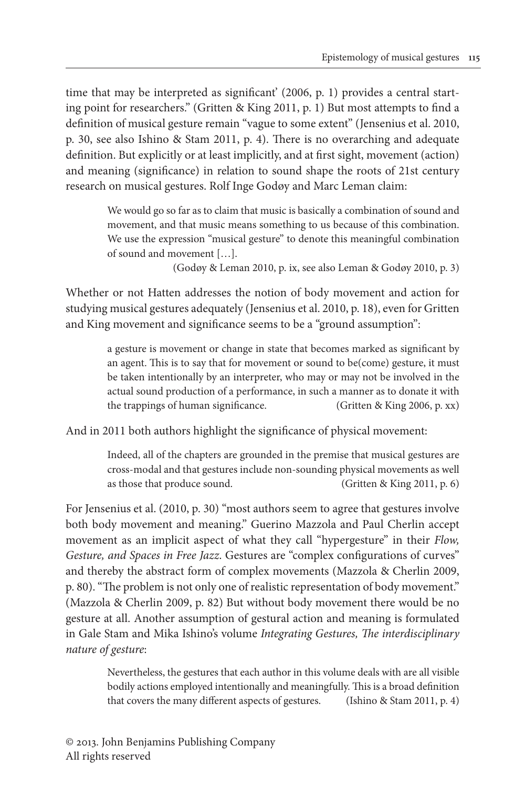time that may be interpreted as significant' (2006, p. 1) provides a central starting point for researchers." [\(Gritten & King 2011,](#page-17-2) p. 1) But most attempts to find a definition of musical gesture remain "vague to some extent" ([Jensenius et al. 2010](#page-18-4), p. 30, see also [Ishino & Stam 2011,](#page-18-3) p. 4). There is no overarching and adequate definition. But explicitly or at least implicitly, and at first sight, movement (action) and meaning (significance) in relation to sound shape the roots of 21st century research on musical gestures. Rolf Inge Godøy and Marc Leman claim:

> We would go so far as to claim that music is basically a combination of sound and movement, and that music means something to us because of this combination. We use the expression "musical gesture" to denote this meaningful combination of sound and movement […].

> > ([Godøy & Leman 2010](#page-17-0), p. ix, see also [Leman & Godøy 2010,](#page-18-5) p. 3)

Whether or not Hatten addresses the notion of body movement and action for studying musical gestures adequately ([Jensenius et al. 2010,](#page-18-4) p. 18), even for Gritten and King movement and significance seems to be a "ground assumption":

> a gesture is movement or change in state that becomes marked as significant by an agent. This is to say that for movement or sound to be(come) gesture, it must be taken intentionally by an interpreter, who may or may not be involved in the actual sound production of a performance, in such a manner as to donate it with the trappings of human significance. ([Gritten & King 2006](#page-17-1), p. xx)

And in 2011 both authors highlight the significance of physical movement:

Indeed, all of the chapters are grounded in the premise that musical gestures are cross-modal and that gestures include non-sounding physical movements as well as those that produce sound. [\(Gritten & King 2011,](#page-17-2) p. 6)

For [Jensenius et al. \(2010](#page-18-4), p. 30) "most authors seem to agree that gestures involve both body movement and meaning." Guerino Mazzola and Paul Cherlin accept movement as an implicit aspect of what they call "hypergesture" in their *Flow, Gesture, and Spaces in Free Jazz*. Gestures are "complex configurations of curves" and thereby the abstract form of complex movements ([Mazzola & Cherlin 2009](#page-18-2), p. 80). "The problem is not only one of realistic representation of body movement." [\(Mazzola & Cherlin 2009,](#page-18-2) p. 82) But without body movement there would be no gesture at all. Another assumption of gestural action and meaning is formulated in Gale Stam and Mika Ishino's volume *Integrating Gestures, The interdisciplinary nature of gesture*:

> Nevertheless, the gestures that each author in this volume deals with are all visible bodily actions employed intentionally and meaningfully. This is a broad definition that covers the many different aspects of gestures. [\(Ishino & Stam 2011,](#page-18-3) p. 4)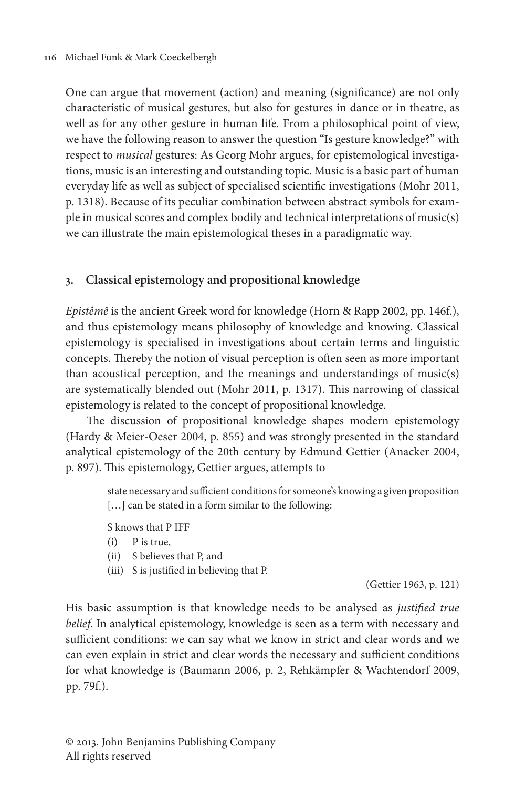One can argue that movement (action) and meaning (significance) are not only characteristic of musical gestures, but also for gestures in dance or in theatre, as well as for any other gesture in human life. From a philosophical point of view, we have the following reason to answer the question "Is gesture knowledge?" with respect to *musical* gestures: As Georg Mohr argues, for epistemological investigations, music is an interesting and outstanding topic. Music is a basic part of human everyday life as well as subject of specialised scientific investigations ([Mohr 2011](#page-19-0), p. 1318). Because of its peculiar combination between abstract symbols for example in musical scores and complex bodily and technical interpretations of music(s) we can illustrate the main epistemological theses in a paradigmatic way.

#### **3. Classical epistemology and propositional knowledge**

*Epistêmê* is the ancient Greek word for knowledge ([Horn & Rapp 2002](#page-18-7), pp. 146f.), and thus epistemology means philosophy of knowledge and knowing. Classical epistemology is specialised in investigations about certain terms and linguistic concepts. Thereby the notion of visual perception is often seen as more important than acoustical perception, and the meanings and understandings of music(s) are systematically blended out [\(Mohr 2011](#page-19-0), p. 1317). This narrowing of classical epistemology is related to the concept of propositional knowledge.

The discussion of propositional knowledge shapes modern epistemology [\(Hardy & Meier-Oeser 2004](#page-18-8), p. 855) and was strongly presented in the standard analytical epistemology of the 20th century by Edmund Gettier ([Anacker 2004](#page-17-3), p. 897). This epistemology, Gettier argues, attempts to

> state necessary and sufficient conditions for someone's knowing a given proposition [...] can be stated in a form similar to the following:

S knows that P IFF

- (i) P is true,
- (ii) S believes that P, and
- (iii) S is justified in believing that P.

[\(Gettier 1963,](#page-17-4) p. 121)

His basic assumption is that knowledge needs to be analysed as *justified true belief*. In analytical epistemology, knowledge is seen as a term with necessary and sufficient conditions: we can say what we know in strict and clear words and we can even explain in strict and clear words the necessary and sufficient conditions for what knowledge is ([Baumann 2006,](#page-17-5) p. 2, [Rehkämpfer & Wachtendorf 2009](#page-19-1), pp. 79f.).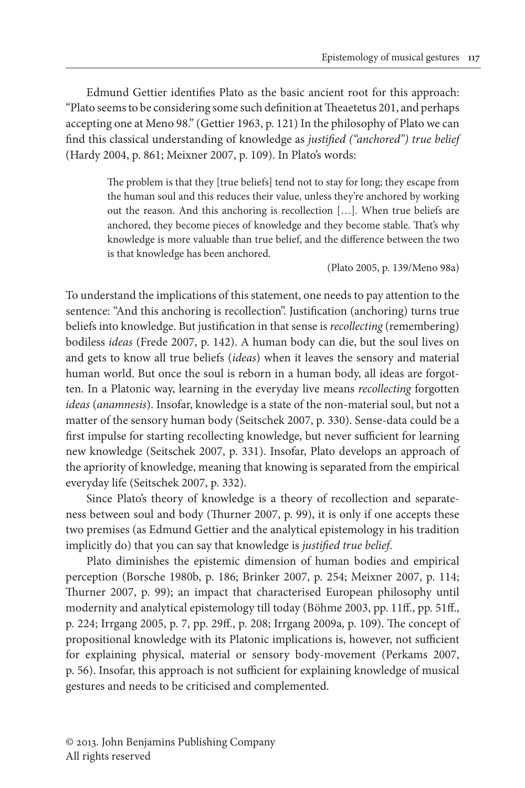Edmund Gettier identifies Plato as the basic ancient root for this approach: "Plato seems to be considering some such definition at Theaetetus 201, and perhaps accepting one at Meno 98." [\(Gettier 1963,](#page-17-4) p. 121) In the philosophy of Plato we can find this classical understanding of knowledge as *justified ("anchored") true belief* [\(Hardy 2004](#page-18-9), p. 861; [Meixner 2007,](#page-18-10) p. 109). In Plato's words:

> The problem is that they [true beliefs] tend not to stay for long; they escape from the human soul and this reduces their value, unless they're anchored by working out the reason. And this anchoring is recollection […]. When true beliefs are anchored, they become pieces of knowledge and they become stable. That's why knowledge is more valuable than true belief, and the difference between the two is that knowledge has been anchored.

> > ([Plato 2005,](#page-19-2) p. 139/Meno 98a)

To understand the implications of this statement, one needs to pay attention to the sentence: "And this anchoring is recollection". Justification (anchoring) turns true beliefs into knowledge. But justification in that sense is *recollecting* (remembering) bodiless *ideas* [\(Frede 2007](#page-17-6), p. 142). A human body can die, but the soul lives on and gets to know all true beliefs (*ideas*) when it leaves the sensory and material human world. But once the soul is reborn in a human body, all ideas are forgotten. In a Platonic way, learning in the everyday live means *recollecting* forgotten *ideas* (*anamnesis*). Insofar, knowledge is a state of the non-material soul, but not a matter of the sensory human body ([Seitschek 2007](#page-19-3), p. 330). Sense-data could be a first impulse for starting recollecting knowledge, but never sufficient for learning new knowledge ([Seitschek 2007](#page-19-3), p. 331). Insofar, Plato develops an approach of the apriority of knowledge, meaning that knowing is separated from the empirical everyday life ([Seitschek 2007](#page-19-3), p. 332).

Since Plato's theory of knowledge is a theory of recollection and separateness between soul and body [\(Thurner 2007,](#page-19-4) p. 99), it is only if one accepts these two premises (as Edmund Gettier and the analytical epistemology in his tradition implicitly do) that you can say that knowledge is *justified true belief*.

Plato diminishes the epistemic dimension of human bodies and empirical perception (Borsche 1980b, p. 186; [Brinker 2007](#page-17-7), p. 254; [Meixner 2007](#page-18-10), p. 114; [Thurner 2007,](#page-19-4) p. 99); an impact that characterised European philosophy until modernity and analytical epistemology till today [\(Böhme 2003,](#page-17-8) pp. 11ff., pp. 51ff., p. 224; [Irrgang 2005](#page-18-11), p. 7, pp. 29ff., p. 208; [Irrgang 2009a](#page-18-12), p. 109). The concept of propositional knowledge with its Platonic implications is, however, not sufficient for explaining physical, material or sensory body-movement [\(Perkams 2007](#page-19-5), p. 56). Insofar, this approach is not sufficient for explaining knowledge of musical gestures and needs to be criticised and complemented.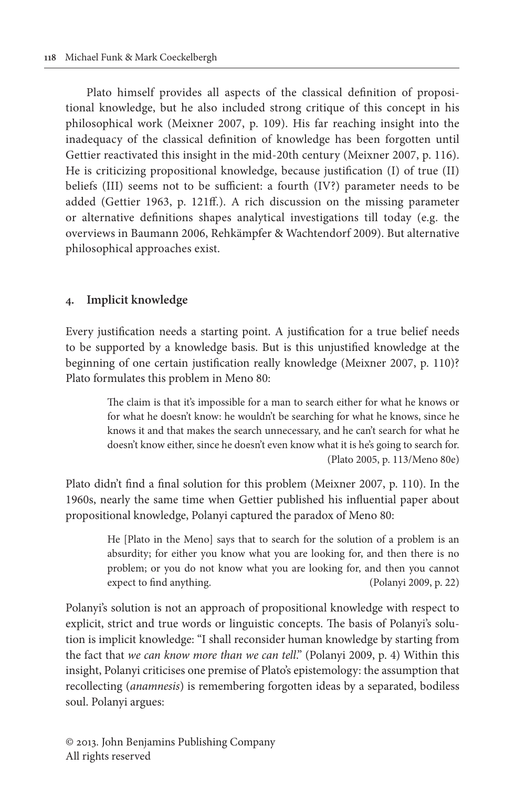Plato himself provides all aspects of the classical definition of propositional knowledge, but he also included strong critique of this concept in his philosophical work [\(Meixner 2007,](#page-18-10) p. 109). His far reaching insight into the inadequacy of the classical definition of knowledge has been forgotten until Gettier reactivated this insight in the mid-20th century [\(Meixner 2007,](#page-18-10) p. 116). He is criticizing propositional knowledge, because justification (I) of true (II) beliefs (III) seems not to be sufficient: a fourth (IV?) parameter needs to be added ([Gettier 1963](#page-17-4), p. 121ff.). A rich discussion on the missing parameter or alternative definitions shapes analytical investigations till today (e.g. the overviews in [Baumann 2006](#page-17-5), [Rehkämpfer & Wachtendorf 2009\)](#page-19-1). But alternative philosophical approaches exist.

# **4. Implicit knowledge**

Every justification needs a starting point. A justification for a true belief needs to be supported by a knowledge basis. But is this unjustified knowledge at the beginning of one certain justification really knowledge [\(Meixner 2007](#page-18-10), p. 110)? Plato formulates this problem in Meno 80:

> The claim is that it's impossible for a man to search either for what he knows or for what he doesn't know: he wouldn't be searching for what he knows, since he knows it and that makes the search unnecessary, and he can't search for what he doesn't know either, since he doesn't even know what it is he's going to search for. [\(Plato 2005,](#page-19-2) p. 113/Meno 80e)

Plato didn't find a final solution for this problem ([Meixner 2007,](#page-18-10) p. 110). In the 1960s, nearly the same time when Gettier published his influential paper about propositional knowledge, Polanyi captured the paradox of Meno 80:

> He [Plato in the Meno] says that to search for the solution of a problem is an absurdity; for either you know what you are looking for, and then there is no problem; or you do not know what you are looking for, and then you cannot expect to find anything. [\(Polanyi 2009](#page-19-6), p. 22)

Polanyi's solution is not an approach of propositional knowledge with respect to explicit, strict and true words or linguistic concepts. The basis of Polanyi's solution is implicit knowledge: "I shall reconsider human knowledge by starting from the fact that *we can know more than we can tell*." [\(Polanyi 2009,](#page-19-6) p. 4) Within this insight, Polanyi criticises one premise of Plato's epistemology: the assumption that recollecting (*anamnesis*) is remembering forgotten ideas by a separated, bodiless soul. Polanyi argues: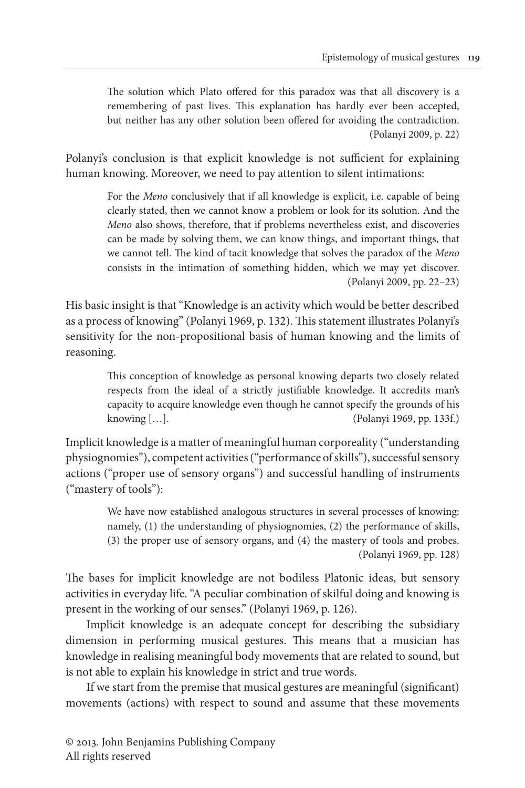The solution which Plato offered for this paradox was that all discovery is a remembering of past lives. This explanation has hardly ever been accepted, but neither has any other solution been offered for avoiding the contradiction. [\(Polanyi 2009](#page-19-6), p. 22)

Polanyi's conclusion is that explicit knowledge is not sufficient for explaining human knowing. Moreover, we need to pay attention to silent intimations:

> For the *Meno* conclusively that if all knowledge is explicit, i.e. capable of being clearly stated, then we cannot know a problem or look for its solution. And the *Meno* also shows, therefore, that if problems nevertheless exist, and discoveries can be made by solving them, we can know things, and important things, that we cannot tell. The kind of tacit knowledge that solves the paradox of the *Meno* consists in the intimation of something hidden, which we may yet discover. ([Polanyi 2009](#page-19-6), pp. 22–23)

His basic insight is that "Knowledge is an activity which would be better described as a process of knowing" [\(Polanyi 1969,](#page-19-7) p. 132). This statement illustrates Polanyi's sensitivity for the non-propositional basis of human knowing and the limits of reasoning.

> This conception of knowledge as personal knowing departs two closely related respects from the ideal of a strictly justifiable knowledge. It accredits man's capacity to acquire knowledge even though he cannot specify the grounds of his knowing […]. [\(Polanyi 1969,](#page-19-7) pp. 133f.)

Implicit knowledge is a matter of meaningful human corporeality ("understanding physiognomies"), competent activities ("performance of skills"), successful sensory actions ("proper use of sensory organs") and successful handling of instruments ("mastery of tools"):

> We have now established analogous structures in several processes of knowing: namely, (1) the understanding of physiognomies, (2) the performance of skills, (3) the proper use of sensory organs, and (4) the mastery of tools and probes. [\(Polanyi 1969,](#page-19-7) pp. 128)

The bases for implicit knowledge are not bodiless Platonic ideas, but sensory activities in everyday life. "A peculiar combination of skilful doing and knowing is present in the working of our senses." ([Polanyi 1969,](#page-19-7) p. 126).

Implicit knowledge is an adequate concept for describing the subsidiary dimension in performing musical gestures. This means that a musician has knowledge in realising meaningful body movements that are related to sound, but is not able to explain his knowledge in strict and true words.

If we start from the premise that musical gestures are meaningful (significant) movements (actions) with respect to sound and assume that these movements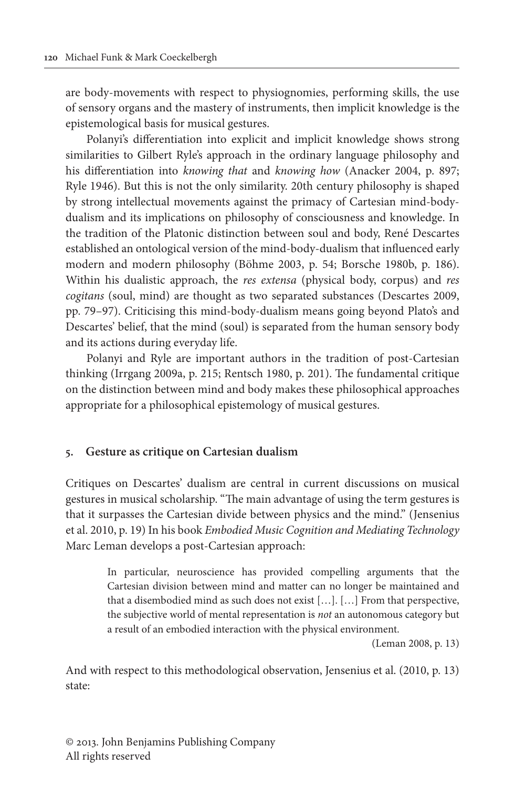are body-movements with respect to physiognomies, performing skills, the use of sensory organs and the mastery of instruments, then implicit knowledge is the epistemological basis for musical gestures.

Polanyi's differentiation into explicit and implicit knowledge shows strong similarities to Gilbert Ryle's approach in the ordinary language philosophy and his differentiation into *knowing that* and *knowing how* [\(Anacker 2004](#page-17-3), p. 897; [Ryle 1946\)](#page-19-8). But this is not the only similarity. 20th century philosophy is shaped by strong intellectual movements against the primacy of Cartesian mind-bodydualism and its implications on philosophy of consciousness and knowledge. In the tradition of the Platonic distinction between soul and body, René Descartes established an ontological version of the mind-body-dualism that influenced early modern and modern philosophy [\(Böhme 2003](#page-17-8), p. 54; Borsche 1980b, p. 186). Within his dualistic approach, the *res extensa* (physical body, corpus) and *res cogitans* (soul, mind) are thought as two separated substances [\(Descartes 2009](#page-17-9), pp. 79–97). Criticising this mind-body-dualism means going beyond Plato's and Descartes' belief, that the mind (soul) is separated from the human sensory body and its actions during everyday life.

Polanyi and Ryle are important authors in the tradition of post-Cartesian thinking [\(Irrgang 2009a,](#page-18-12) p. 215; [Rentsch 1980](#page-19-9), p. 201). The fundamental critique on the distinction between mind and body makes these philosophical approaches appropriate for a philosophical epistemology of musical gestures.

#### **5. Gesture as critique on Cartesian dualism**

Critiques on Descartes' dualism are central in current discussions on musical gestures in musical scholarship. "The main advantage of using the term gestures is that it surpasses the Cartesian divide between physics and the mind." [\(Jensenius](#page-18-4)  [et al. 2010](#page-18-4), p. 19) In his book *Embodied Music Cognition and Mediating Technology* Marc Leman develops a post-Cartesian approach:

> In particular, neuroscience has provided compelling arguments that the Cartesian division between mind and matter can no longer be maintained and that a disembodied mind as such does not exist […]. […] From that perspective, the subjective world of mental representation is *not* an autonomous category but a result of an embodied interaction with the physical environment.

> > [\(Leman 2008](#page-18-0), p. 13)

And with respect to this methodological observation, [Jensenius et al. \(2010](#page-18-4), p. 13) state: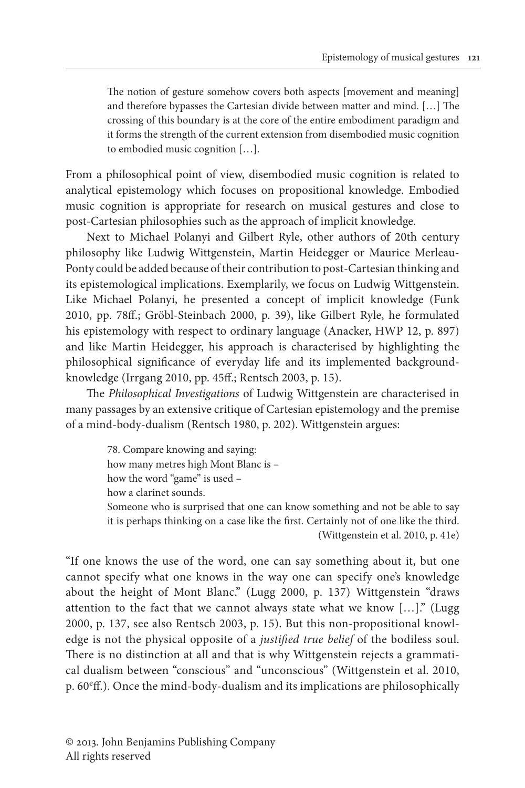The notion of gesture somehow covers both aspects [movement and meaning] and therefore bypasses the Cartesian divide between matter and mind. […] The crossing of this boundary is at the core of the entire embodiment paradigm and it forms the strength of the current extension from disembodied music cognition to embodied music cognition […].

From a philosophical point of view, disembodied music cognition is related to analytical epistemology which focuses on propositional knowledge. Embodied music cognition is appropriate for research on musical gestures and close to post-Cartesian philosophies such as the approach of implicit knowledge.

Next to Michael Polanyi and Gilbert Ryle, other authors of 20th century philosophy like Ludwig Wittgenstein, Martin Heidegger or Maurice Merleau-Ponty could be added because of their contribution to post-Cartesian thinking and its epistemological implications. Exemplarily, we focus on Ludwig Wittgenstein. Like Michael Polanyi, he presented a concept of implicit knowledge ([Funk](#page-17-10)  [2010](#page-17-10), pp. 78ff.; [Gröbl-Steinbach 2000](#page-17-11), p. 39), like Gilbert Ryle, he formulated his epistemology with respect to ordinary language (Anacker, HWP 12, p. 897) and like Martin Heidegger, his approach is characterised by highlighting the philosophical significance of everyday life and its implemented backgroundknowledge ([Irrgang 2010](#page-18-13), pp. 45ff.; [Rentsch 2003,](#page-19-10) p. 15).

The *Philosophical Investigations* of Ludwig Wittgenstein are characterised in many passages by an extensive critique of Cartesian epistemology and the premise of a mind-body-dualism [\(Rentsch 1980,](#page-19-9) p. 202). Wittgenstein argues:

> 78. Compare knowing and saying: how many metres high Mont Blanc is – how the word "game" is used – how a clarinet sounds. Someone who is surprised that one can know something and not be able to say it is perhaps thinking on a case like the first. Certainly not of one like the third. [\(Wittgenstein et al. 2010](#page-19-11), p. 41e)

"If one knows the use of the word, one can say something about it, but one cannot specify what one knows in the way one can specify one's knowledge about the height of Mont Blanc." ([Lugg 2000,](#page-18-14) p. 137) Wittgenstein "draws attention to the fact that we cannot always state what we know […]." [\(Lugg](#page-18-14)  [2000](#page-18-14), p. 137, see also [Rentsch 2003](#page-19-10), p. 15). But this non-propositional knowledge is not the physical opposite of a *justified true belief* of the bodiless soul. There is no distinction at all and that is why Wittgenstein rejects a grammatical dualism between "conscious" and "unconscious" ([Wittgenstein et al. 2010](#page-19-11), p. 60<sup>e</sup> ff.). Once the mind-body-dualism and its implications are philosophically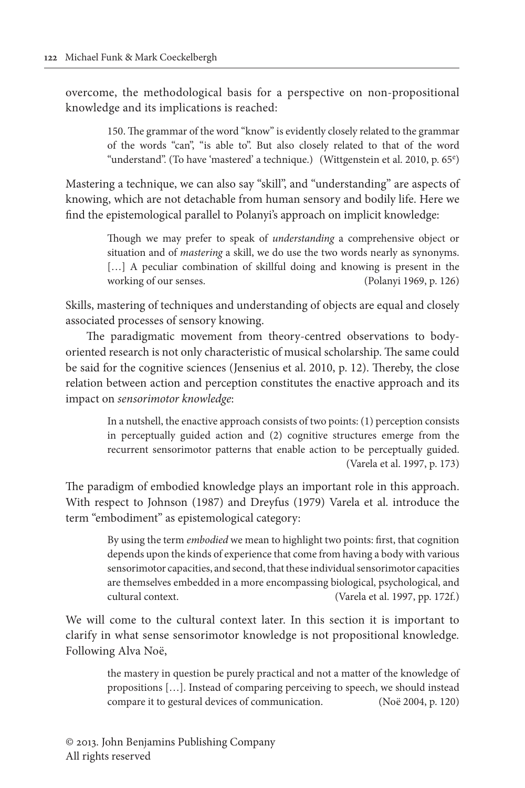overcome, the methodological basis for a perspective on non-propositional knowledge and its implications is reached:

> 150. The grammar of the word "know" is evidently closely related to the grammar of the words "can", "is able to". But also closely related to that of the word "understand". (To have 'mastered' a technique.) [\(Wittgenstein et al. 2010](#page-19-11), p. 65e )

Mastering a technique, we can also say "skill", and "understanding" are aspects of knowing, which are not detachable from human sensory and bodily life. Here we find the epistemological parallel to Polanyi's approach on implicit knowledge:

> Though we may prefer to speak of *understanding* a comprehensive object or situation and of *mastering* a skill, we do use the two words nearly as synonyms. [...] A peculiar combination of skillful doing and knowing is present in the working of our senses. ([Polanyi 1969,](#page-19-7) p. 126)

Skills, mastering of techniques and understanding of objects are equal and closely associated processes of sensory knowing.

The paradigmatic movement from theory-centred observations to bodyoriented research is not only characteristic of musical scholarship. The same could be said for the cognitive sciences ([Jensenius et al. 2010](#page-18-4), p. 12). Thereby, the close relation between action and perception constitutes the enactive approach and its impact on *sensorimotor knowledge*:

> In a nutshell, the enactive approach consists of two points: (1) perception consists in perceptually guided action and (2) cognitive structures emerge from the recurrent sensorimotor patterns that enable action to be perceptually guided. [\(Varela et al. 1997,](#page-19-12) p. 173)

The paradigm of embodied knowledge plays an important role in this approach. With respect to [Johnson \(1987\)](#page-18-15) and [Dreyfus \(1979](#page-17-12)) Varela et al. introduce the term "embodiment" as epistemological category:

> By using the term *embodied* we mean to highlight two points: first, that cognition depends upon the kinds of experience that come from having a body with various sensorimotor capacities, and second, that these individual sensorimotor capacities are themselves embedded in a more encompassing biological, psychological, and cultural context. ([Varela et al. 1997,](#page-19-12) pp. 172f.)

We will come to the cultural context later. In this section it is important to clarify in what sense sensorimotor knowledge is not propositional knowledge*.* Following Alva Noë,

> the mastery in question be purely practical and not a matter of the knowledge of propositions […]. Instead of comparing perceiving to speech, we should instead compare it to gestural devices of communication. [\(Noë 2004,](#page-19-13) p. 120)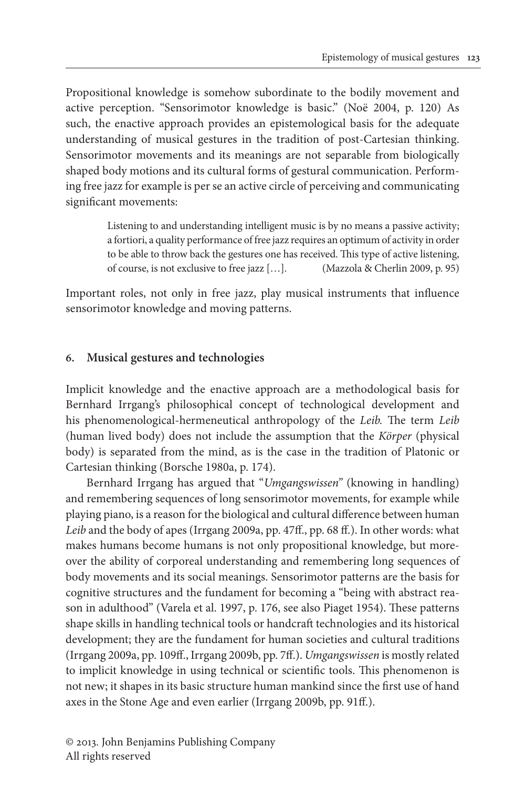Propositional knowledge is somehow subordinate to the bodily movement and active perception. "Sensorimotor knowledge is basic." [\(Noë 2004,](#page-19-13) p. 120) As such, the enactive approach provides an epistemological basis for the adequate understanding of musical gestures in the tradition of post-Cartesian thinking. Sensorimotor movements and its meanings are not separable from biologically shaped body motions and its cultural forms of gestural communication. Performing free jazz for example is per se an active circle of perceiving and communicating significant movements:

> Listening to and understanding intelligent music is by no means a passive activity; a fortiori, a quality performance of free jazz requires an optimum of activity in order to be able to throw back the gestures one has received. This type of active listening, of course, is not exclusive to free jazz […]. [\(Mazzola & Cherlin 2009,](#page-18-2) p. 95)

Important roles, not only in free jazz, play musical instruments that influence sensorimotor knowledge and moving patterns.

#### **6. Musical gestures and technologies**

Implicit knowledge and the enactive approach are a methodological basis for Bernhard Irrgang's philosophical concept of technological development and his phenomenological-hermeneutical anthropology of the *Leib.* The term *Leib* (human lived body) does not include the assumption that the *Körper* (physical body) is separated from the mind, as is the case in the tradition of Platonic or Cartesian thinking (Borsche 1980a, p. 174).

Bernhard Irrgang has argued that "*Umgangswissen"* (knowing in handling) and remembering sequences of long sensorimotor movements, for example while playing piano, is a reason for the biological and cultural difference between human *Leib* and the body of apes [\(Irrgang 2009a](#page-18-12), pp. 47ff., pp. 68 ff.). In other words: what makes humans become humans is not only propositional knowledge, but moreover the ability of corporeal understanding and remembering long sequences of body movements and its social meanings. Sensorimotor patterns are the basis for cognitive structures and the fundament for becoming a "being with abstract reason in adulthood" ([Varela et al. 1997,](#page-19-12) p. 176, see also [Piaget 1954\)](#page-19-14). These patterns shape skills in handling technical tools or handcraft technologies and its historical development; they are the fundament for human societies and cultural traditions [\(Irrgang 2009a](#page-18-12), pp. 109ff., [Irrgang 2009b,](#page-18-16) pp. 7ff.). *Umgangswissen* is mostly related to implicit knowledge in using technical or scientific tools. This phenomenon is not new; it shapes in its basic structure human mankind since the first use of hand axes in the Stone Age and even earlier ([Irrgang 2009b,](#page-18-16) pp. 91ff.).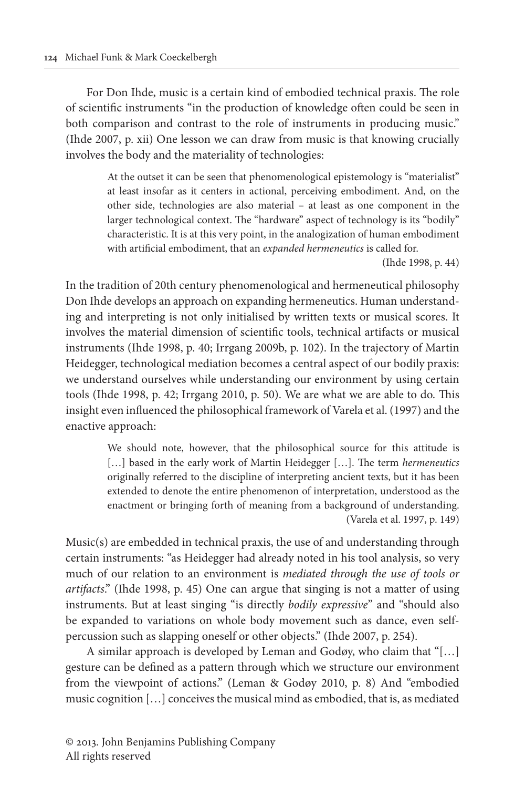For Don Ihde, music is a certain kind of embodied technical praxis. The role of scientific instruments "in the production of knowledge often could be seen in both comparison and contrast to the role of instruments in producing music." [\(Ihde 2007](#page-18-17), p. xii) One lesson we can draw from music is that knowing crucially involves the body and the materiality of technologies:

> At the outset it can be seen that phenomenological epistemology is "materialist" at least insofar as it centers in actional, perceiving embodiment. And, on the other side, technologies are also material – at least as one component in the larger technological context. The "hardware" aspect of technology is its "bodily" characteristic. It is at this very point, in the analogization of human embodiment with artificial embodiment, that an *expanded hermeneutics* is called for.

> > [\(Ihde 1998](#page-18-18), p. 44)

In the tradition of 20th century phenomenological and hermeneutical philosophy Don Ihde develops an approach on expanding hermeneutics. Human understanding and interpreting is not only initialised by written texts or musical scores. It involves the material dimension of scientific tools, technical artifacts or musical instruments ([Ihde 1998,](#page-18-18) p. 40; [Irrgang 2009b,](#page-18-16) p. 102). In the trajectory of Martin Heidegger, technological mediation becomes a central aspect of our bodily praxis: we understand ourselves while understanding our environment by using certain tools ([Ihde 1998,](#page-18-18) p. 42; [Irrgang 2010](#page-18-13), p. 50). We are what we are able to do. This insight even influenced the philosophical framework of [Varela et al. \(1997](#page-19-12)) and the enactive approach:

> We should note, however, that the philosophical source for this attitude is […] based in the early work of Martin Heidegger […]. The term *hermeneutics* originally referred to the discipline of interpreting ancient texts, but it has been extended to denote the entire phenomenon of interpretation, understood as the enactment or bringing forth of meaning from a background of understanding. [\(Varela et al. 1997,](#page-19-12) p. 149)

Music(s) are embedded in technical praxis, the use of and understanding through certain instruments: "as Heidegger had already noted in his tool analysis, so very much of our relation to an environment is *mediated through the use of tools or artifacts*." [\(Ihde 1998,](#page-18-18) p. 45) One can argue that singing is not a matter of using instruments. But at least singing "is directly *bodily expressive*" and "should also be expanded to variations on whole body movement such as dance, even selfpercussion such as slapping oneself or other objects." [\(Ihde 2007,](#page-18-17) p. 254).

A similar approach is developed by Leman and Godøy, who claim that "[…] gesture can be defined as a pattern through which we structure our environment from the viewpoint of actions." [\(Leman & Godøy 2010,](#page-18-5) p. 8) And "embodied music cognition […] conceives the musical mind as embodied, that is, as mediated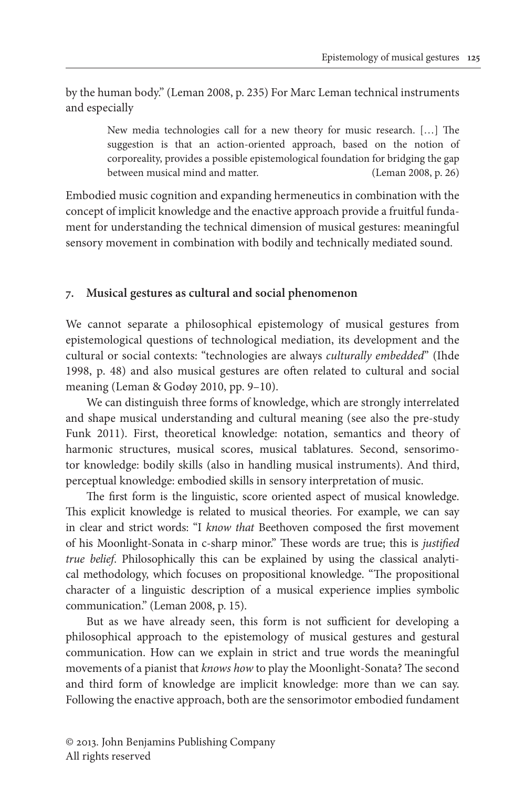by the human body." (Leman 2008, p. 235) For Marc Leman technical instruments and especially

> New media technologies call for a new theory for music research. […] The suggestion is that an action-oriented approach, based on the notion of corporeality, provides a possible epistemological foundation for bridging the gap between musical mind and matter. [\(Leman 2008](#page-18-0), p. 26)

Embodied music cognition and expanding hermeneutics in combination with the concept of implicit knowledge and the enactive approach provide a fruitful fundament for understanding the technical dimension of musical gestures: meaningful sensory movement in combination with bodily and technically mediated sound.

#### **7. Musical gestures as cultural and social phenomenon**

We cannot separate a philosophical epistemology of musical gestures from epistemological questions of technological mediation, its development and the cultural or social contexts: "technologies are always *culturally embedded*" ([Ihde](#page-18-18)  [1998](#page-18-18), p. 48) and also musical gestures are often related to cultural and social meaning ([Leman & Godøy 2010](#page-18-5), pp. 9–10).

We can distinguish three forms of knowledge, which are strongly interrelated and shape musical understanding and cultural meaning (see also the pre-study [Funk 2011\)](#page-17-13). First, theoretical knowledge: notation, semantics and theory of harmonic structures, musical scores, musical tablatures. Second, sensorimotor knowledge: bodily skills (also in handling musical instruments). And third, perceptual knowledge: embodied skills in sensory interpretation of music.

The first form is the linguistic, score oriented aspect of musical knowledge. This explicit knowledge is related to musical theories. For example, we can say in clear and strict words: "I *know that* Beethoven composed the first movement of his Moonlight-Sonata in c-sharp minor." These words are true; this is *justified true belief*. Philosophically this can be explained by using the classical analytical methodology, which focuses on propositional knowledge. "The propositional character of a linguistic description of a musical experience implies symbolic communication." ([Leman 2008](#page-18-0), p. 15).

But as we have already seen, this form is not sufficient for developing a philosophical approach to the epistemology of musical gestures and gestural communication. How can we explain in strict and true words the meaningful movements of a pianist that *knows how* to play the Moonlight-Sonata? The second and third form of knowledge are implicit knowledge: more than we can say. Following the enactive approach, both are the sensorimotor embodied fundament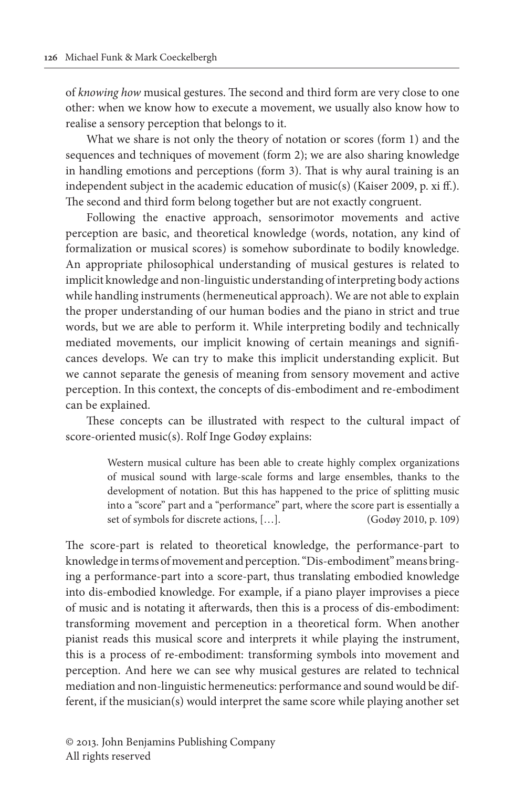of *knowing how* musical gestures. The second and third form are very close to one other: when we know how to execute a movement, we usually also know how to realise a sensory perception that belongs to it.

What we share is not only the theory of notation or scores (form 1) and the sequences and techniques of movement (form 2); we are also sharing knowledge in handling emotions and perceptions (form 3). That is why aural training is an independent subject in the academic education of music(s) ([Kaiser 2009,](#page-18-19) p. xi ff.). The second and third form belong together but are not exactly congruent.

Following the enactive approach, sensorimotor movements and active perception are basic, and theoretical knowledge (words, notation, any kind of formalization or musical scores) is somehow subordinate to bodily knowledge. An appropriate philosophical understanding of musical gestures is related to implicit knowledge and non-linguistic understanding of interpreting body actions while handling instruments (hermeneutical approach). We are not able to explain the proper understanding of our human bodies and the piano in strict and true words, but we are able to perform it. While interpreting bodily and technically mediated movements, our implicit knowing of certain meanings and significances develops. We can try to make this implicit understanding explicit. But we cannot separate the genesis of meaning from sensory movement and active perception. In this context, the concepts of dis-embodiment and re-embodiment can be explained.

These concepts can be illustrated with respect to the cultural impact of score-oriented music(s). Rolf Inge Godøy explains:

> Western musical culture has been able to create highly complex organizations of musical sound with large-scale forms and large ensembles, thanks to the development of notation. But this has happened to the price of splitting music into a "score" part and a "performance" part, where the score part is essentially a set of symbols for discrete actions, [...]. [\(Godøy 2010,](#page-17-14) p. 109)

The score-part is related to theoretical knowledge, the performance-part to knowledge in terms of movement and perception. "Dis-embodiment" means bringing a performance-part into a score-part, thus translating embodied knowledge into dis-embodied knowledge. For example, if a piano player improvises a piece of music and is notating it afterwards, then this is a process of dis-embodiment: transforming movement and perception in a theoretical form. When another pianist reads this musical score and interprets it while playing the instrument, this is a process of re-embodiment: transforming symbols into movement and perception. And here we can see why musical gestures are related to technical mediation and non-linguistic hermeneutics: performance and sound would be different, if the musician(s) would interpret the same score while playing another set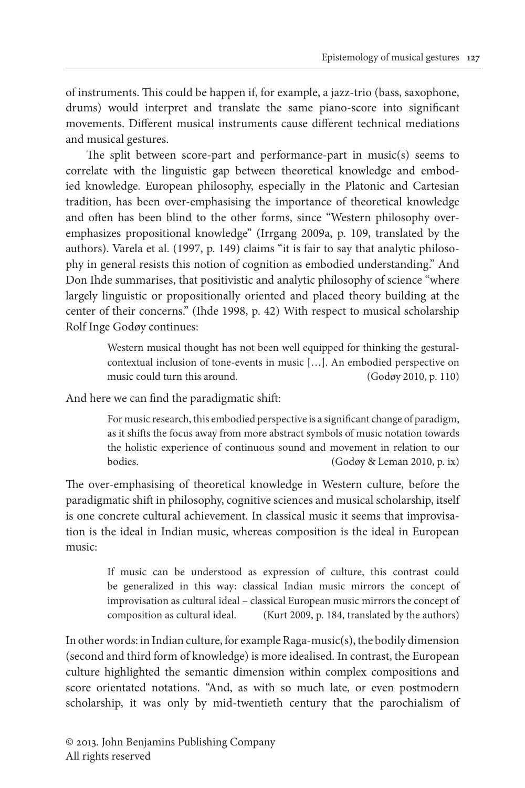of instruments. This could be happen if, for example, a jazz-trio (bass, saxophone, drums) would interpret and translate the same piano-score into significant movements. Different musical instruments cause different technical mediations and musical gestures.

The split between score-part and performance-part in music(s) seems to correlate with the linguistic gap between theoretical knowledge and embodied knowledge. European philosophy, especially in the Platonic and Cartesian tradition, has been over-emphasising the importance of theoretical knowledge and often has been blind to the other forms, since "Western philosophy overemphasizes propositional knowledge" [\(Irrgang 2009a](#page-18-12), p. 109, translated by the authors). [Varela et al. \(1997](#page-19-12), p. 149) claims "it is fair to say that analytic philosophy in general resists this notion of cognition as embodied understanding." And Don Ihde summarises, that positivistic and analytic philosophy of science "where largely linguistic or propositionally oriented and placed theory building at the center of their concerns." ([Ihde 1998,](#page-18-18) p. 42) With respect to musical scholarship Rolf Inge Godøy continues:

> Western musical thought has not been well equipped for thinking the gesturalcontextual inclusion of tone-events in music […]. An embodied perspective on music could turn this around. [\(Godøy 2010,](#page-17-14) p. 110)

And here we can find the paradigmatic shift:

For music research, this embodied perspective is a significant change of paradigm, as it shifts the focus away from more abstract symbols of music notation towards the holistic experience of continuous sound and movement in relation to our bodies. (Godøy & [Leman 2010](#page-18-5), p. ix)

The over-emphasising of theoretical knowledge in Western culture, before the paradigmatic shift in philosophy, cognitive sciences and musical scholarship, itself is one concrete cultural achievement. In classical music it seems that improvisation is the ideal in Indian music, whereas composition is the ideal in European music:

> If music can be understood as expression of culture, this contrast could be generalized in this way: classical Indian music mirrors the concept of improvisation as cultural ideal – classical European music mirrors the concept of composition as cultural ideal. ([Kurt 2009,](#page-18-20) p. 184, translated by the authors)

In other words: in Indian culture, for example Raga-music(s), the bodily dimension (second and third form of knowledge) is more idealised. In contrast, the European culture highlighted the semantic dimension within complex compositions and score orientated notations. "And, as with so much late, or even postmodern scholarship, it was only by mid-twentieth century that the parochialism of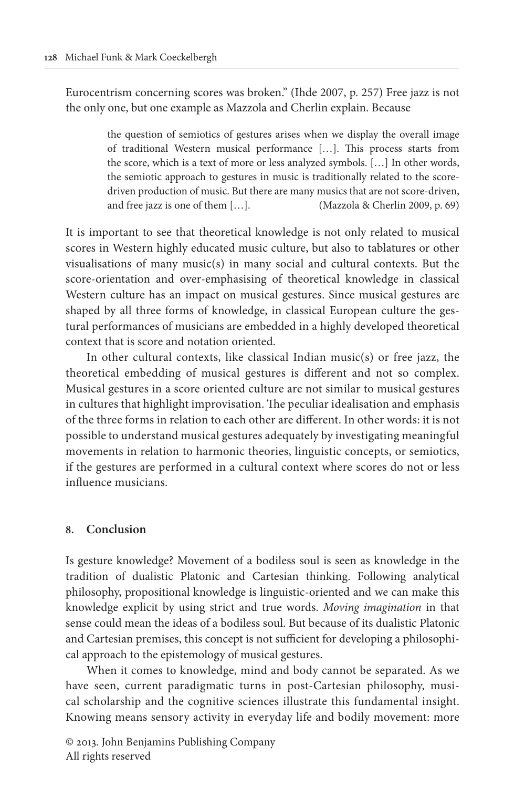Eurocentrism concerning scores was broken." ([Ihde 2007,](#page-18-17) p. 257) Free jazz is not the only one, but one example as Mazzola and Cherlin explain. Because

> the question of semiotics of gestures arises when we display the overall image of traditional Western musical performance […]. This process starts from the score, which is a text of more or less analyzed symbols. […] In other words, the semiotic approach to gestures in music is traditionally related to the scoredriven production of music. But there are many musics that are not score-driven, and free jazz is one of them […]. ([Mazzola & Cherlin 2009](#page-18-2), p. 69)

It is important to see that theoretical knowledge is not only related to musical scores in Western highly educated music culture, but also to tablatures or other visualisations of many music(s) in many social and cultural contexts. But the score-orientation and over-emphasising of theoretical knowledge in classical Western culture has an impact on musical gestures. Since musical gestures are shaped by all three forms of knowledge, in classical European culture the gestural performances of musicians are embedded in a highly developed theoretical context that is score and notation oriented.

In other cultural contexts, like classical Indian music(s) or free jazz, the theoretical embedding of musical gestures is different and not so complex. Musical gestures in a score oriented culture are not similar to musical gestures in cultures that highlight improvisation. The peculiar idealisation and emphasis of the three forms in relation to each other are different. In other words: it is not possible to understand musical gestures adequately by investigating meaningful movements in relation to harmonic theories, linguistic concepts, or semiotics, if the gestures are performed in a cultural context where scores do not or less influence musicians.

#### **8. Conclusion**

Is gesture knowledge? Movement of a bodiless soul is seen as knowledge in the tradition of dualistic Platonic and Cartesian thinking. Following analytical philosophy, propositional knowledge is linguistic-oriented and we can make this knowledge explicit by using strict and true words. *Moving imagination* in that sense could mean the ideas of a bodiless soul. But because of its dualistic Platonic and Cartesian premises, this concept is not sufficient for developing a philosophical approach to the epistemology of musical gestures.

When it comes to knowledge, mind and body cannot be separated. As we have seen, current paradigmatic turns in post-Cartesian philosophy, musical scholarship and the cognitive sciences illustrate this fundamental insight. Knowing means sensory activity in everyday life and bodily movement: more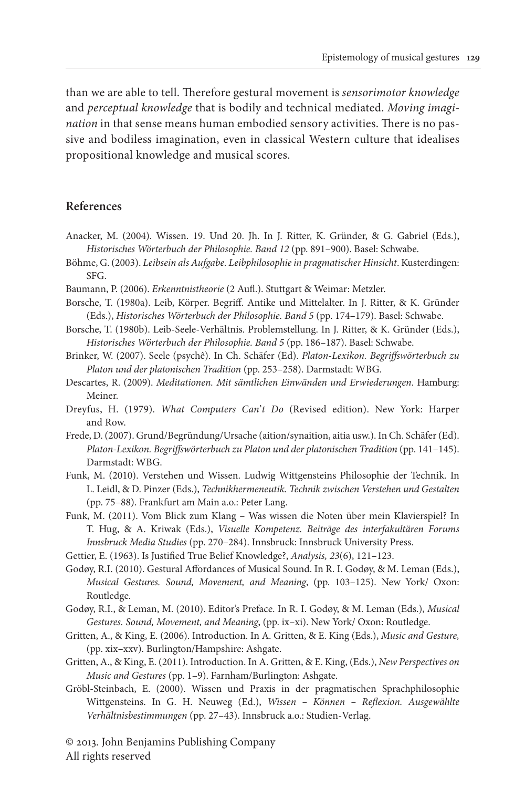than we are able to tell. Therefore gestural movement is *sensorimotor knowledge* and *perceptual knowledge* that is bodily and technical mediated. *Moving imagination* in that sense means human embodied sensory activities. There is no passive and bodiless imagination, even in classical Western culture that idealises propositional knowledge and musical scores.

#### **References**

- <span id="page-17-3"></span>Anacker, M. (2004). Wissen. 19. Und 20. Jh. In J. Ritter, K. Gründer, & G. Gabriel (Eds.), *Historisches Wörterbuch der Philosophie. Band 12* (pp. 891–900). Basel: Schwabe.
- <span id="page-17-8"></span>Böhme, G. (2003). *Leibsein als Aufgabe. Leibphilosophie in pragmatischer Hinsicht*. Kusterdingen: SFG.
- <span id="page-17-5"></span>Baumann, P. (2006). *Erkenntnistheorie* (2 Aufl.). Stuttgart & Weimar: Metzler.
- Borsche, T. (1980a). Leib, Körper. Begriff. Antike und Mittelalter. In J. Ritter, & K. Gründer (Eds.), *Historisches Wörterbuch der Philosophie. Band 5* (pp. 174–179). Basel: Schwabe.
- Borsche, T. (1980b). Leib-Seele-Verhältnis. Problemstellung. In J. Ritter, & K. Gründer (Eds.), *Historisches Wörterbuch der Philosophie. Band 5* (pp. 186–187). Basel: Schwabe.
- <span id="page-17-7"></span>Brinker, W. (2007). Seele (psychê). In Ch. Schäfer (Ed). *Platon-Lexikon. Begriffswörterbuch zu Platon und der platonischen Tradition* (pp. 253–258). Darmstadt: WBG.
- <span id="page-17-9"></span>Descartes, R. (2009). *Meditationen. Mit sämtlichen Einwänden und Erwiederungen*. Hamburg: Meiner.
- <span id="page-17-12"></span>Dreyfus, H. (1979). *What Computers Can*'*t Do* (Revised edition). New York: Harper and Row.
- <span id="page-17-6"></span>Frede, D. (2007). Grund/Begründung/Ursache (aition/synaition, aitia usw.). In Ch. Schäfer (Ed). *Platon-Lexikon. Begriffswörterbuch zu Platon und der platonischen Tradition* (pp. 141–145). Darmstadt: WBG.
- <span id="page-17-10"></span>Funk, M. (2010). Verstehen und Wissen. Ludwig Wittgensteins Philosophie der Technik. In L. Leidl, & D. Pinzer (Eds.), *Technikhermeneutik. Technik zwischen Verstehen und Gestalten*  (pp. 75–88). Frankfurt am Main a.o.: Peter Lang.
- <span id="page-17-13"></span>Funk, M. (2011). Vom Blick zum Klang – Was wissen die Noten über mein Klavierspiel? In T. Hug, & A. Kriwak (Eds.), *Visuelle Kompetenz. Beiträge des interfakultären Forums Innsbruck Media Studies* (pp. 270–284). Innsbruck: Innsbruck University Press.
- <span id="page-17-4"></span>Gettier, E. (1963). Is Justified True Belief Knowledge?, *Analysis, 23*(6), 121–123.
- <span id="page-17-14"></span>Godøy, R.I. (2010). Gestural Affordances of Musical Sound. In R. I. Godøy, & M. Leman (Eds.), *Musical Gestures. Sound, Movement, and Meaning*, (pp. 103–125). New York/ Oxon: Routledge.
- <span id="page-17-0"></span>Godøy, R.I., & Leman, M. (2010). Editor's Preface. In R. I. Godøy, & M. Leman (Eds.), *Musical Gestures. Sound, Movement, and Meaning*, (pp. ix–xi). New York/ Oxon: Routledge.
- <span id="page-17-1"></span>Gritten, A., & King, E. (2006). Introduction. In A. Gritten, & E. King (Eds.), *Music and Gesture,* (pp. xix–xxv). Burlington/Hampshire: Ashgate.
- <span id="page-17-2"></span>Gritten, A., & King, E. (2011). Introduction. In A. Gritten, & E. King, (Eds.), *New Perspectives on Music and Gestures* (pp. 1–9). Farnham/Burlington: Ashgate.
- <span id="page-17-11"></span>Gröbl-Steinbach, E. (2000). Wissen und Praxis in der pragmatischen Sprachphilosophie Wittgensteins. In G. H. Neuweg (Ed.), *Wissen – Können – Reflexion. Ausgewählte Verhältnisbestimmungen* (pp. 27–43). Innsbruck a.o.: Studien-Verlag.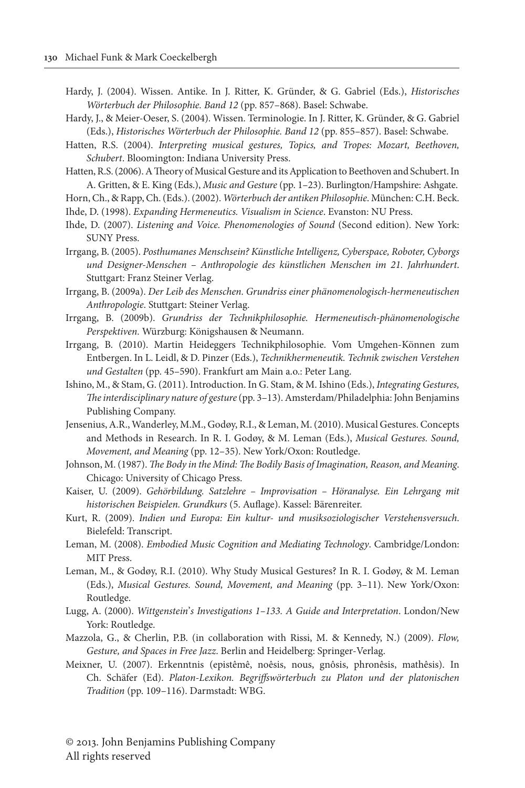- <span id="page-18-9"></span>Hardy, J. (2004). Wissen. Antike. In J. Ritter, K. Gründer, & G. Gabriel (Eds.), *Historisches Wörterbuch der Philosophie. Band 12* (pp. 857–868). Basel: Schwabe.
- <span id="page-18-8"></span>Hardy, J., & Meier-Oeser, S. (2004). Wissen. Terminologie. In J. Ritter, K. Gründer, & G. Gabriel (Eds.), *Historisches Wörterbuch der Philosophie. Band 12* (pp. 855–857). Basel: Schwabe.
- <span id="page-18-1"></span>Hatten, R.S. (2004). *Interpreting musical gestures, Topics, and Tropes: Mozart, Beethoven, Schubert*. Bloomington: Indiana University Press.
- <span id="page-18-6"></span>Hatten, R.S. (2006). A Theory of Musical Gesture and its Application to Beethoven and Schubert. In A. Gritten, & E. King (Eds.), *Music and Gesture* (pp. 1–23). Burlington/Hampshire: Ashgate.
- <span id="page-18-7"></span>Horn, Ch., & Rapp, Ch. (Eds.). (2002). *Wörterbuch der antiken Philosophie*. München: C.H. Beck.
- <span id="page-18-18"></span>Ihde, D. (1998). *Expanding Hermeneutics. Visualism in Science*. Evanston: NU Press.
- <span id="page-18-17"></span>Ihde, D. (2007). *Listening and Voice. Phenomenologies of Sound* (Second edition). New York: SUNY Press.
- <span id="page-18-11"></span>Irrgang, B. (2005). *Posthumanes Menschsein? Künstliche Intelligenz, Cyberspace, Roboter, Cyborgs und Designer-Menschen – Anthropologie des künstlichen Menschen im 21. Jahrhundert*. Stuttgart: Franz Steiner Verlag.
- <span id="page-18-12"></span>Irrgang, B. (2009a). *Der Leib des Menschen. Grundriss einer phänomenologisch-hermeneutischen Anthropologie*. Stuttgart: Steiner Verlag.
- <span id="page-18-16"></span>Irrgang, B. (2009b). *Grundriss der Technikphilosophie. Hermeneutisch-phänomenologische Perspektiven.* Würzburg: Königshausen & Neumann.
- <span id="page-18-13"></span>Irrgang, B. (2010). Martin Heideggers Technikphilosophie. Vom Umgehen-Können zum Entbergen. In L. Leidl, & D. Pinzer (Eds.), *Technikhermeneutik. Technik zwischen Verstehen und Gestalten* (pp. 45–590). Frankfurt am Main a.o.: Peter Lang.
- <span id="page-18-3"></span>Ishino, M., & Stam, G. (2011). Introduction. In G. Stam, & M. Ishino (Eds.), *Integrating Gestures, The interdisciplinary nature of gesture* (pp. 3–13). Amsterdam/Philadelphia: John Benjamins Publishing Company.
- <span id="page-18-4"></span>Jensenius, A.R., Wanderley, M.M., Godøy, R.I., & Leman, M. (2010). Musical Gestures. Concepts and Methods in Research. In R. I. Godøy, & M. Leman (Eds.), *Musical Gestures. Sound, Movement, and Meaning* (pp. 12–35). New York/Oxon: Routledge.
- <span id="page-18-15"></span>Johnson, M. (1987). *The Body in the Mind: The Bodily Basis of Imagination, Reason, and Meaning*. Chicago: University of Chicago Press.
- <span id="page-18-19"></span>Kaiser, U. (2009). *Gehörbildung. Satzlehre – Improvisation – Höranalyse. Ein Lehrgang mit historischen Beispielen. Grundkurs* (5. Auflage). Kassel: Bärenreiter.
- <span id="page-18-20"></span>Kurt, R. (2009). *Indien und Europa: Ein kultur- und musiksoziologischer Verstehensversuch*. Bielefeld: Transcript.
- <span id="page-18-0"></span>Leman, M. (2008). *Embodied Music Cognition and Mediating Technology*. Cambridge/London: MIT Press.
- <span id="page-18-5"></span>Leman, M., & Godøy, R.I. (2010). Why Study Musical Gestures? In R. I. Godøy, & M. Leman (Eds.), *Musical Gestures. Sound, Movement, and Meaning* (pp. 3–11). New York/Oxon: Routledge.
- <span id="page-18-14"></span>Lugg, A. (2000). *Wittgenstein*'*s Investigations 1–133. A Guide and Interpretation*. London/New York: Routledge.
- <span id="page-18-2"></span>Mazzola, G., & Cherlin, P.B. (in collaboration with Rissi, M. & Kennedy, N.) (2009). *Flow, Gesture, and Spaces in Free Jazz*. Berlin and Heidelberg: Springer-Verlag.
- <span id="page-18-10"></span>Meixner, U. (2007). Erkenntnis (epistêmê, noêsis, nous, gnôsis, phronêsis, mathêsis). In Ch. Schäfer (Ed). *Platon-Lexikon. Begriffswörterbuch zu Platon und der platonischen Tradition* (pp. 109–116). Darmstadt: WBG.